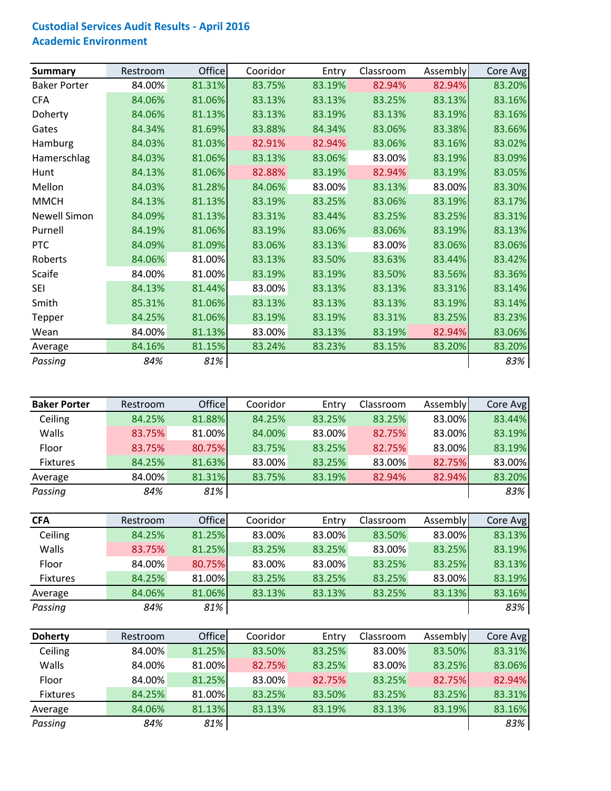## **Custodial Services Audit Results ‐ April 2016 Academic Environment**

| <b>Summary</b>      | Restroom | Office | Cooridor | Entry  | Classroom | Assembly | Core Avg |
|---------------------|----------|--------|----------|--------|-----------|----------|----------|
| <b>Baker Porter</b> | 84.00%   | 81.31% | 83.75%   | 83.19% | 82.94%    | 82.94%   | 83.20%   |
| <b>CFA</b>          | 84.06%   | 81.06% | 83.13%   | 83.13% | 83.25%    | 83.13%   | 83.16%   |
| Doherty             | 84.06%   | 81.13% | 83.13%   | 83.19% | 83.13%    | 83.19%   | 83.16%   |
| Gates               | 84.34%   | 81.69% | 83.88%   | 84.34% | 83.06%    | 83.38%   | 83.66%   |
| Hamburg             | 84.03%   | 81.03% | 82.91%   | 82.94% | 83.06%    | 83.16%   | 83.02%   |
| Hamerschlag         | 84.03%   | 81.06% | 83.13%   | 83.06% | 83.00%    | 83.19%   | 83.09%   |
| Hunt                | 84.13%   | 81.06% | 82.88%   | 83.19% | 82.94%    | 83.19%   | 83.05%   |
| Mellon              | 84.03%   | 81.28% | 84.06%   | 83.00% | 83.13%    | 83.00%   | 83.30%   |
| <b>MMCH</b>         | 84.13%   | 81.13% | 83.19%   | 83.25% | 83.06%    | 83.19%   | 83.17%   |
| <b>Newell Simon</b> | 84.09%   | 81.13% | 83.31%   | 83.44% | 83.25%    | 83.25%   | 83.31%   |
| Purnell             | 84.19%   | 81.06% | 83.19%   | 83.06% | 83.06%    | 83.19%   | 83.13%   |
| PTC                 | 84.09%   | 81.09% | 83.06%   | 83.13% | 83.00%    | 83.06%   | 83.06%   |
| Roberts             | 84.06%   | 81.00% | 83.13%   | 83.50% | 83.63%    | 83.44%   | 83.42%   |
| Scaife              | 84.00%   | 81.00% | 83.19%   | 83.19% | 83.50%    | 83.56%   | 83.36%   |
| <b>SEI</b>          | 84.13%   | 81.44% | 83.00%   | 83.13% | 83.13%    | 83.31%   | 83.14%   |
| Smith               | 85.31%   | 81.06% | 83.13%   | 83.13% | 83.13%    | 83.19%   | 83.14%   |
| Tepper              | 84.25%   | 81.06% | 83.19%   | 83.19% | 83.31%    | 83.25%   | 83.23%   |
| Wean                | 84.00%   | 81.13% | 83.00%   | 83.13% | 83.19%    | 82.94%   | 83.06%   |
| Average             | 84.16%   | 81.15% | 83.24%   | 83.23% | 83.15%    | 83.20%   | 83.20%   |
| Passing             | 84%      | 81%    |          |        |           |          | 83%      |

| <b>Baker Porter</b> | Restroom | <b>Office</b> | Cooridor | Entry  | Classroom | Assembly | Core Avg |
|---------------------|----------|---------------|----------|--------|-----------|----------|----------|
| Ceiling             | 84.25%   | 81.88%        | 84.25%   | 83.25% | 83.25%    | 83.00%   | 83.44%   |
| Walls               | 83.75%   | 81.00%        | 84.00%   | 83.00% | 82.75%    | 83.00%   | 83.19%   |
| Floor               | 83.75%   | 80.75%        | 83.75%   | 83.25% | 82.75%    | 83.00%   | 83.19%   |
| <b>Fixtures</b>     | 84.25%   | 81.63%        | 83.00%   | 83.25% | 83.00%    | 82.75%   | 83.00%   |
| Average             | 84.00%   | 81.31%        | 83.75%   | 83.19% | 82.94%    | 82.94%   | 83.20%   |
| Passing             | 84%      | 81%           |          |        |           |          | 83%      |

| <b>CFA</b>      | Restroom | <b>Office</b> | Cooridor | Entry  | Classroom | Assembly | Core Avg |
|-----------------|----------|---------------|----------|--------|-----------|----------|----------|
| Ceiling         | 84.25%   | 81.25%        | 83.00%   | 83.00% | 83.50%    | 83.00%   | 83.13%   |
| Walls           | 83.75%   | 81.25%        | 83.25%   | 83.25% | 83.00%    | 83.25%   | 83.19%   |
| Floor           | 84.00%   | 80.75%        | 83.00%   | 83.00% | 83.25%    | 83.25%   | 83.13%   |
| <b>Fixtures</b> | 84.25%   | 81.00%        | 83.25%   | 83.25% | 83.25%    | 83.00%   | 83.19%   |
| Average         | 84.06%   | 81.06%        | 83.13%   | 83.13% | 83.25%    | 83.13%   | 83.16%   |
| Passing         | 84%      | 81%           |          |        |           |          | 83%      |

| <b>Doherty</b>  | Restroom | <b>Office</b> | Cooridor | Entry  | Classroom | Assembly | Core Avg |
|-----------------|----------|---------------|----------|--------|-----------|----------|----------|
| Ceiling         | 84.00%   | 81.25%        | 83.50%   | 83.25% | 83.00%    | 83.50%   | 83.31%   |
| Walls           | 84.00%   | 81.00%        | 82.75%   | 83.25% | 83.00%    | 83.25%   | 83.06%   |
| Floor           | 84.00%   | 81.25%        | 83.00%   | 82.75% | 83.25%    | 82.75%   | 82.94%   |
| <b>Fixtures</b> | 84.25%   | 81.00%        | 83.25%   | 83.50% | 83.25%    | 83.25%   | 83.31%   |
| Average         | 84.06%   | 81.13%        | 83.13%   | 83.19% | 83.13%    | 83.19%   | 83.16%   |
| Passing         | 84%      | 81%           |          |        |           |          | 83%      |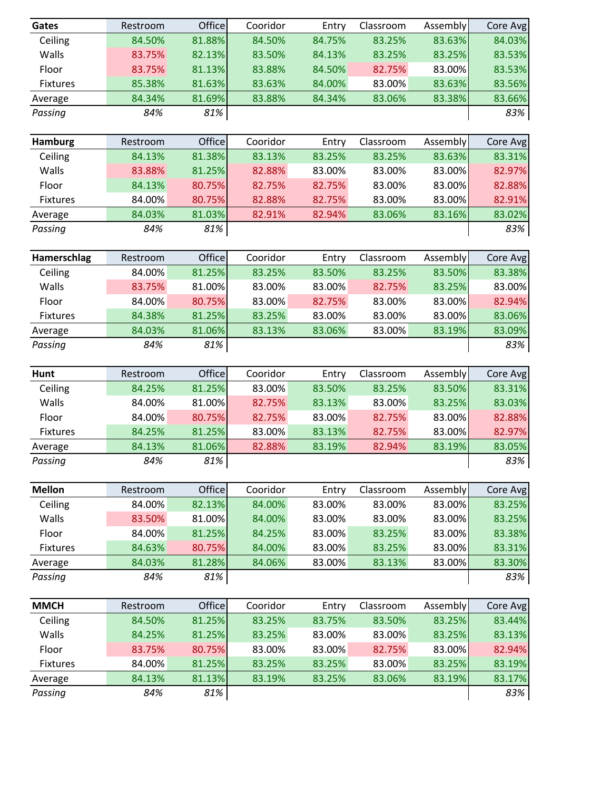| Gates          | Restroom | Office | Cooridor | Entry  | Classroom | Assembly       | Core Avg |
|----------------|----------|--------|----------|--------|-----------|----------------|----------|
| Ceiling        | 84.50%   | 81.88% | 84.50%   | 84.75% | 83.25%    | 83.63%         | 84.03%   |
| Walls          | 83.75%   | 82.13% | 83.50%   | 84.13% | 83.25%    | 83.25%         | 83.53%   |
| Floor          | 83.75%   | 81.13% | 83.88%   | 84.50% | 82.75%    | 83.00%         | 83.53%   |
| Fixtures       | 85.38%   | 81.63% | 83.63%   | 84.00% | 83.00%    | 83.63%         | 83.56%   |
| Average        | 84.34%   | 81.69% | 83.88%   | 84.34% | 83.06%    | 83.38%         | 83.66%   |
| Passing        | 84%      | 81%    |          |        |           |                | 83%      |
| <b>Hamburg</b> | Restroom | Office | Cooridor | Entry  | Classroom | Assembly       | Core Avg |
| Ceiling        | 84.13%   | 81.38% | 83.13%   | 83.25% | 83.25%    | 83.63%         | 83.31%   |
| Walls          | 83.88%   | 81.25% | 82.88%   | 83.00% | 83.00%    | 83.00%         | 82.97%   |
| Floor          | 84.13%   | 80.75% | 82.75%   | 82.75% | 83.00%    | 83.00%         | 82.88%   |
| Fixtures       | 84.00%   | 80.75% | 82.88%   | 82.75% | 83.00%    | 83.00%         | 82.91%   |
| Average        | 84.03%   | 81.03% | 82.91%   | 82.94% | 83.06%    | 83.16%         | 83.02%   |
| Passing        | 84%      | 81%    |          |        |           |                | 83%      |
| Hamerschlag    | Restroom | Office | Cooridor | Entry  | Classroom | Assembly       | Core Avg |
| Ceiling        | 84.00%   | 81.25% | 83.25%   | 83.50% | 83.25%    | 83.50%         | 83.38%   |
| Walls          | 83.75%   | 81.00% | 83.00%   | 83.00% | 82.75%    | 83.25%         | 83.00%   |
| Floor          | 84.00%   | 80.75% | 83.00%   | 82.75% | 83.00%    | 83.00%         | 82.94%   |
| Fixtures       | 84.38%   | 81.25% | 83.25%   | 83.00% | 83.00%    | 83.00%         | 83.06%   |
| Average        | 84.03%   | 81.06% | 83.13%   | 83.06% | 83.00%    | 83.19%         | 83.09%   |
| Passing        | 84%      | 81%    |          |        |           |                | 83%      |
| <b>Hunt</b>    | Restroom | Office | Cooridor | Entry  | Classroom | Assembly       | Core Avg |
| Ceiling        | 84.25%   | 81.25% | 83.00%   | 83.50% | 83.25%    | 83.50%         | 83.31%   |
| Walls          | 84.00%   | 81.00% | 82.75%   | 83.13% | 83.00%    | 83.25%         | 83.03%   |
| Floor          | 84.00%   | 80.75% | 82.75%   | 83.00% | 82.75%    | 83.00%         | 82.88%   |
| Fixtures       | 84.25%   | 81.25% | 83.00%   | 83.13% | 82.75%    | 83.00%         | 82.97%   |
| Average        | 84.13%   | 81.06% | 82.88%   | 83.19% | 82.94%    | 83.19%         | 83.05%   |
| Passing        | 84%      | 81%    |          |        |           | $\blacksquare$ | 83%      |
| <b>Mellon</b>  | Restroom | Office | Cooridor | Entry  | Classroom | Assembly       | Core Avg |
| Ceiling        | 84.00%   | 82.13% | 84.00%   | 83.00% | 83.00%    | 83.00%         | 83.25%   |
| Walls          | 83.50%   | 81.00% | 84.00%   | 83.00% | 83.00%    | 83.00%         | 83.25%   |
| Floor          | 84.00%   | 81.25% | 84.25%   | 83.00% | 83.25%    | 83.00%         | 83.38%   |
| Fixtures       | 84.63%   | 80.75% | 84.00%   | 83.00% | 83.25%    | 83.00%         | 83.31%   |
| Average        | 84.03%   | 81.28% | 84.06%   | 83.00% | 83.13%    | 83.00%         | 83.30%   |
| Passing        | 84%      | 81%    |          |        |           |                | 83%      |
| <b>MMCH</b>    | Restroom | Office | Cooridor | Entry  | Classroom | Assembly       | Core Avg |
| Ceiling        | 84.50%   | 81.25% | 83.25%   | 83.75% | 83.50%    | 83.25%         | 83.44%   |
| Walls          | 84.25%   | 81.25% | 83.25%   | 83.00% | 83.00%    | 83.25%         | 83.13%   |
| Floor          | 83.75%   | 80.75% | 83.00%   | 83.00% | 82.75%    | 83.00%         | 82.94%   |
| Fixtures       | 84.00%   | 81.25% | 83.25%   | 83.25% | 83.00%    | 83.25%         | 83.19%   |
| Average        | 84.13%   | 81.13% | 83.19%   | 83.25% | 83.06%    | 83.19%         | 83.17%   |
| Passing        | 84%      | 81%    |          |        |           |                | 83%      |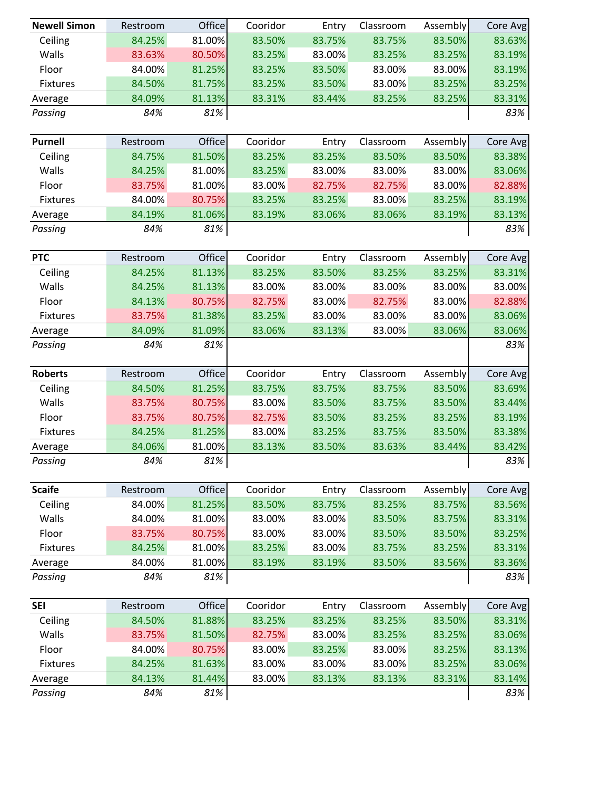| <b>Newell Simon</b> | Restroom | Office | Cooridor | Entry  | Classroom | Assembly | Core Avg |
|---------------------|----------|--------|----------|--------|-----------|----------|----------|
| Ceiling             | 84.25%   | 81.00% | 83.50%   | 83.75% | 83.75%    | 83.50%   | 83.63%   |
| Walls               | 83.63%   | 80.50% | 83.25%   | 83.00% | 83.25%    | 83.25%   | 83.19%   |
| Floor               | 84.00%   | 81.25% | 83.25%   | 83.50% | 83.00%    | 83.00%   | 83.19%   |
| Fixtures            | 84.50%   | 81.75% | 83.25%   | 83.50% | 83.00%    | 83.25%   | 83.25%   |
| Average             | 84.09%   | 81.13% | 83.31%   | 83.44% | 83.25%    | 83.25%   | 83.31%   |
| Passing             | 84%      | 81%    |          |        |           |          | 83%      |
|                     |          |        |          |        |           |          |          |
| <b>Purnell</b>      | Restroom | Office | Cooridor | Entry  | Classroom | Assembly | Core Avg |
| Ceiling             | 84.75%   | 81.50% | 83.25%   | 83.25% | 83.50%    | 83.50%   | 83.38%   |
| Walls               | 84.25%   | 81.00% | 83.25%   | 83.00% | 83.00%    | 83.00%   | 83.06%   |
| Floor               | 83.75%   | 81.00% | 83.00%   | 82.75% | 82.75%    | 83.00%   | 82.88%   |
| Fixtures            | 84.00%   | 80.75% | 83.25%   | 83.25% | 83.00%    | 83.25%   | 83.19%   |
| Average             | 84.19%   | 81.06% | 83.19%   | 83.06% | 83.06%    | 83.19%   | 83.13%   |
| Passing             | 84%      | 81%    |          |        |           |          | 83%      |
|                     |          |        |          |        |           |          |          |
| <b>PTC</b>          | Restroom | Office | Cooridor | Entry  | Classroom | Assembly | Core Avg |
| Ceiling             | 84.25%   | 81.13% | 83.25%   | 83.50% | 83.25%    | 83.25%   | 83.31%   |
| Walls               | 84.25%   | 81.13% | 83.00%   | 83.00% | 83.00%    | 83.00%   | 83.00%   |
| Floor               | 84.13%   | 80.75% | 82.75%   | 83.00% | 82.75%    | 83.00%   | 82.88%   |
| Fixtures            | 83.75%   | 81.38% | 83.25%   | 83.00% | 83.00%    | 83.00%   | 83.06%   |
| Average             | 84.09%   | 81.09% | 83.06%   | 83.13% | 83.00%    | 83.06%   | 83.06%   |
| Passing             | 84%      | 81%    |          |        |           |          | 83%      |
|                     |          |        |          |        |           |          |          |
| <b>Roberts</b>      | Restroom | Office | Cooridor | Entry  | Classroom | Assembly | Core Avg |
| Ceiling             | 84.50%   | 81.25% | 83.75%   | 83.75% | 83.75%    | 83.50%   | 83.69%   |
| Walls               | 83.75%   | 80.75% | 83.00%   | 83.50% | 83.75%    | 83.50%   | 83.44%   |
| Floor               | 83.75%   | 80.75% | 82.75%   | 83.50% | 83.25%    | 83.25%   | 83.19%   |
| Fixtures            | 84.25%   | 81.25% | 83.00%   | 83.25% | 83.75%    | 83.50%   | 83.38%   |
| Average             | 84.06%   | 81.00% | 83.13%   | 83.50% | 83.63%    | 83.44%   | 83.42%   |
| Passing             | 84%      | 81%    |          |        |           |          | 83%      |
|                     |          |        |          |        |           |          |          |
| <b>Scaife</b>       | Restroom | Office | Cooridor | Entry  | Classroom | Assembly | Core Avg |
| Ceiling             | 84.00%   | 81.25% | 83.50%   | 83.75% | 83.25%    | 83.75%   | 83.56%   |
| Walls               | 84.00%   | 81.00% | 83.00%   | 83.00% | 83.50%    | 83.75%   | 83.31%   |
| Floor               | 83.75%   | 80.75% | 83.00%   | 83.00% | 83.50%    | 83.50%   | 83.25%   |
| Fixtures            | 84.25%   | 81.00% | 83.25%   | 83.00% | 83.75%    | 83.25%   | 83.31%   |
| Average             | 84.00%   | 81.00% | 83.19%   | 83.19% | 83.50%    | 83.56%   | 83.36%   |
| Passing             | 84%      | 81%    |          |        |           |          | 83%      |
|                     |          |        |          |        |           |          |          |
| <b>SEI</b>          | Restroom | Office | Cooridor | Entry  | Classroom | Assembly | Core Avg |
| Ceiling             | 84.50%   | 81.88% | 83.25%   | 83.25% | 83.25%    | 83.50%   | 83.31%   |
| Walls               | 83.75%   | 81.50% | 82.75%   | 83.00% | 83.25%    | 83.25%   | 83.06%   |
| Floor               | 84.00%   | 80.75% | 83.00%   | 83.25% | 83.00%    | 83.25%   | 83.13%   |
| Fixtures            | 84.25%   | 81.63% | 83.00%   | 83.00% | 83.00%    | 83.25%   | 83.06%   |
| Average             | 84.13%   | 81.44% | 83.00%   | 83.13% | 83.13%    | 83.31%   | 83.14%   |
|                     |          |        |          |        |           |          |          |